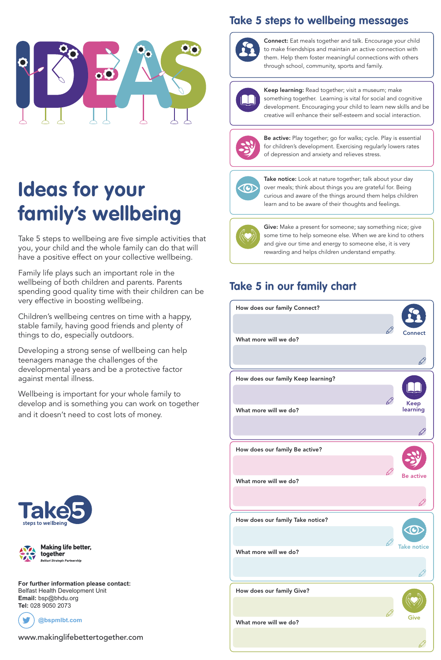## **Take 5 steps to wellbeing messages**



### www.makinglifebettertogether.com

#### **For further information please contact:** Belfast Health Development Unit **Email:** bsp@bhdu.org **Tel:** 028 9050 2073





# **Ideas for your family's wellbeing**

Take 5 steps to wellbeing are five simple activities that you, your child and the whole family can do that will have a positive effect on your collective wellbeing.

Family life plays such an important role in the wellbeing of both children and parents. Parents spending good quality time with their children can be very effective in boosting wellbeing.

Children's wellbeing centres on time with a happy, stable family, having good friends and plenty of things to do, especially outdoors.

Developing a strong sense of wellbeing can help teenagers manage the challenges of the developmental years and be a protective factor against mental illness.

Wellbeing is important for your whole family to develop and is something you can work on together and it doesn't need to cost lots of money.

**Connect:** Eat meals together and talk. Encourage your child to make friendships and maintain an active connection with them. Help them foster meaningful connections with others through school, community, sports and family.



**Keep learning:** Read together; visit a museum; make something together. Learning is vital for social and cognitive development. Encouraging your child to learn new skills and be creative will enhance their self-esteem and social interaction.



**Be active:** Play together; go for walks; cycle. Play is essential for children's development. Exercising regularly lowers rates of depression and anxiety and relieves stress.



**Take notice:** Look at nature together; talk about your day over meals; think about things you are grateful for. Being curious and aware of the things around them helps children learn and to be aware of their thoughts and feelings.



**Give:** Make a present for someone; say something nice; give some time to help someone else. When we are kind to others and give our time and energy to someone else, it is very rewarding and helps children understand empathy.











## **Take 5 in our family chart**